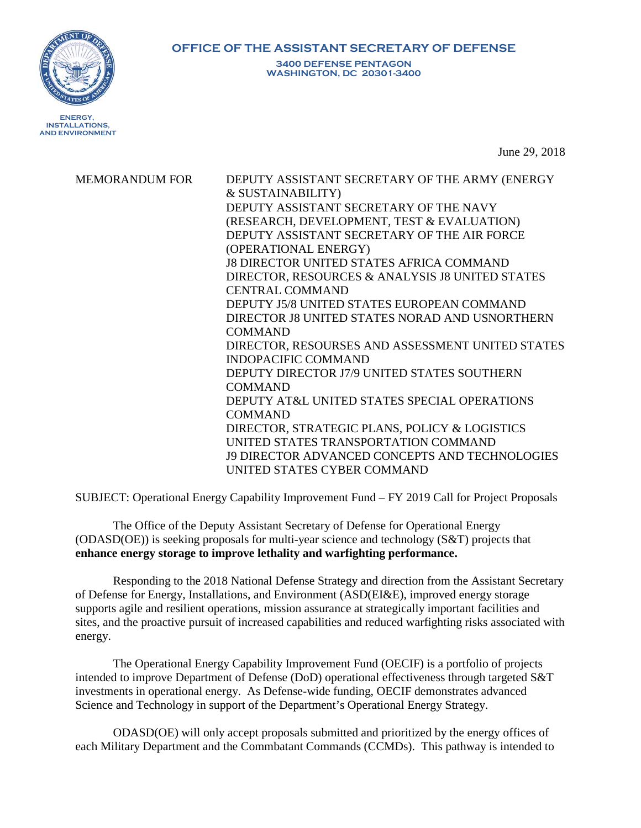**ENERGY, INSTALLATIONS,**

**AND ENVIRONMENT**

**OFFICE OF THE ASSISTANT SECRETARY OF DEFENSE**

**3400 DEFENSE PENTAGON WASHINGTON, DC 20301-3400**

June 29, 2018

MEMORANDUM FOR DEPUTY ASSISTANT SECRETARY OF THE ARMY (ENERGY & SUSTAINABILITY) DEPUTY ASSISTANT SECRETARY OF THE NAVY (RESEARCH, DEVELOPMENT, TEST & EVALUATION) DEPUTY ASSISTANT SECRETARY OF THE AIR FORCE (OPERATIONAL ENERGY) J8 DIRECTOR UNITED STATES AFRICA COMMAND DIRECTOR, RESOURCES & ANALYSIS J8 UNITED STATES CENTRAL COMMAND DEPUTY J5/8 UNITED STATES EUROPEAN COMMAND DIRECTOR J8 UNITED STATES NORAD AND USNORTHERN COMMAND DIRECTOR, RESOURSES AND ASSESSMENT UNITED STATES INDOPACIFIC COMMAND DEPUTY DIRECTOR J7/9 UNITED STATES SOUTHERN COMMAND DEPUTY AT&L UNITED STATES SPECIAL OPERATIONS COMMAND DIRECTOR, STRATEGIC PLANS, POLICY & LOGISTICS UNITED STATES TRANSPORTATION COMMAND J9 DIRECTOR ADVANCED CONCEPTS AND TECHNOLOGIES UNITED STATES CYBER COMMAND

SUBJECT: Operational Energy Capability Improvement Fund – FY 2019 Call for Project Proposals

The Office of the Deputy Assistant Secretary of Defense for Operational Energy (ODASD(OE)) is seeking proposals for multi-year science and technology (S&T) projects that **enhance energy storage to improve lethality and warfighting performance.**

Responding to the 2018 National Defense Strategy and direction from the Assistant Secretary of Defense for Energy, Installations, and Environment (ASD(EI&E), improved energy storage supports agile and resilient operations, mission assurance at strategically important facilities and sites, and the proactive pursuit of increased capabilities and reduced warfighting risks associated with energy.

The Operational Energy Capability Improvement Fund (OECIF) is a portfolio of projects intended to improve Department of Defense (DoD) operational effectiveness through targeted S&T investments in operational energy. As Defense-wide funding, OECIF demonstrates advanced Science and Technology in support of the Department's Operational Energy Strategy.

ODASD(OE) will only accept proposals submitted and prioritized by the energy offices of each Military Department and the Commbatant Commands (CCMDs). This pathway is intended to